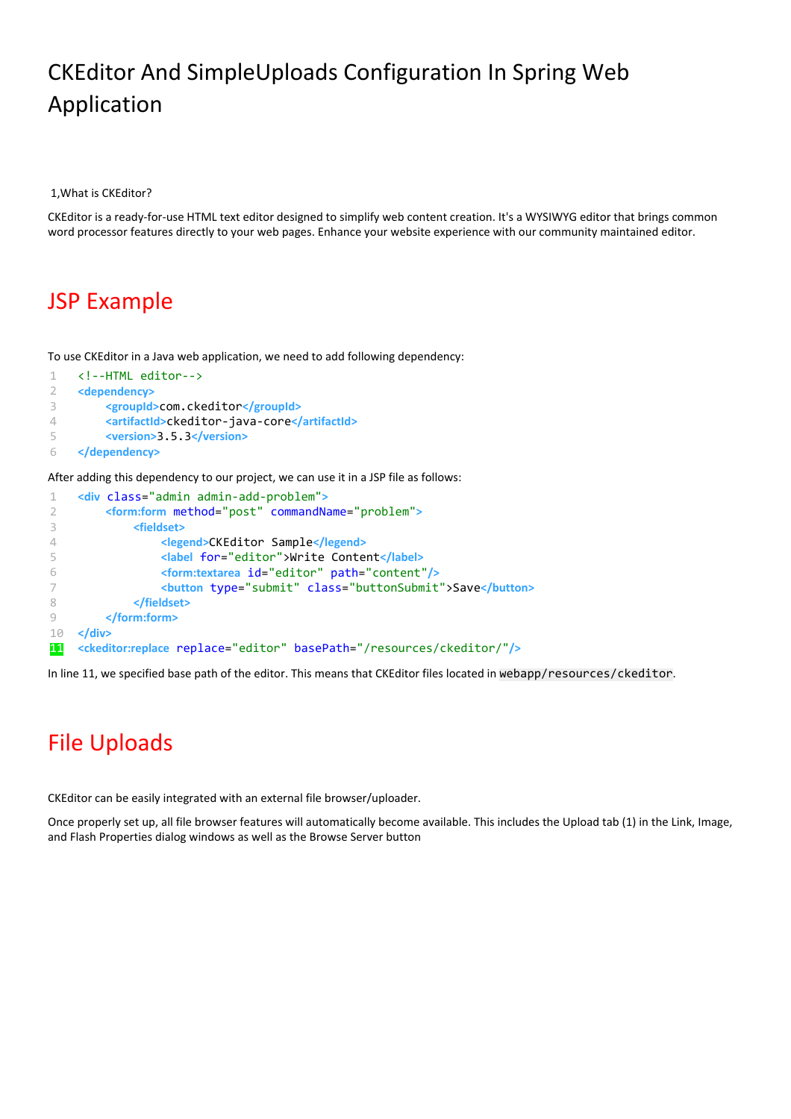## CKEditor And SimpleUploads Configuration In Spring Web Application

1,What is CKEditor?

CKEditor is a ready-for-use HTML text editor designed to simplify web content creation. It's a WYSIWYG editor that brings common word processor features directly to your web pages. Enhance your website experience with our community maintained editor.

### JSP Example

To use CKEditor in a Java web application, we need to add following dependency:

```
1
\mathcal{D}3
\Delta5
6
     <!--HTML editor-->
     <dependency>
           <groupId>com.ckeditor</groupId>
           <artifactId>ckeditor-java-core</artifactId>
           <version>3.5.3</version>
    </dependency>
```
After adding this dependency to our project, we can use it in a JSP file as follows:

```
1
2
3
\Delta5
6
7
8
\circ10
11
    <div class="admin admin-add-problem">
          <form:form method="post" commandName="problem">
              <fieldset>
                   <legend>CKEditor Sample</legend>
                   <label for="editor">Write Content</label>
                   <form:textarea id="editor" path="content"/>
                   <button type="submit" class="buttonSubmit">Save</button>
              </fieldset>
          </form:form>
    </div>
    <ckeditor:replace replace="editor" basePath="/resources/ckeditor/"/>
```
In line 11, we specified base path of the editor. This means that CKEditor files located in webapp/resources/ckeditor.

# File Uploads

CKEditor can be easily integrated with an external file browser/uploader.

Once properly set up, all file browser features will automatically become available. This includes the Upload tab (1) in the Link, Image, and Flash Properties dialog windows as well as the Browse Server button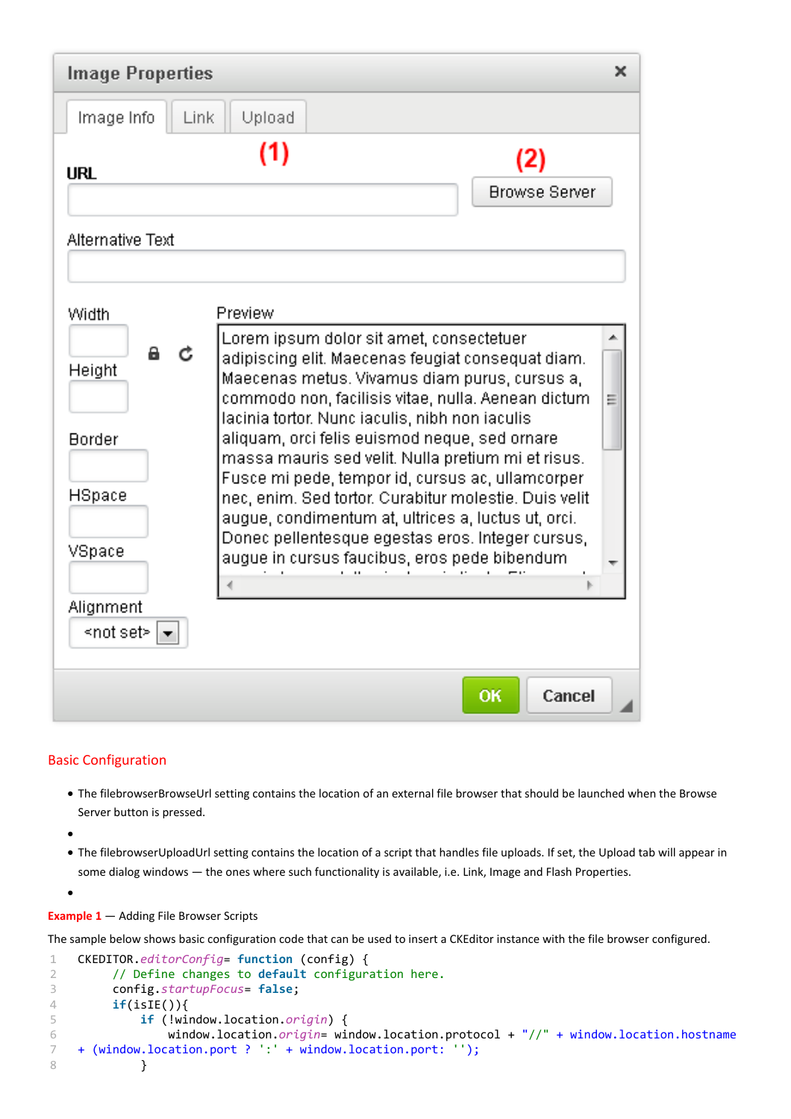| <b>Image Properties</b><br>× |                                                                                                                                                                                                                                                                                                                                                                             |                             |
|------------------------------|-----------------------------------------------------------------------------------------------------------------------------------------------------------------------------------------------------------------------------------------------------------------------------------------------------------------------------------------------------------------------------|-----------------------------|
| Image Info<br>Link           | Upload                                                                                                                                                                                                                                                                                                                                                                      |                             |
| <b>URL</b>                   | (1)                                                                                                                                                                                                                                                                                                                                                                         | (2)<br><b>Browse Server</b> |
| Alternative Text             |                                                                                                                                                                                                                                                                                                                                                                             |                             |
| Width                        | Preview                                                                                                                                                                                                                                                                                                                                                                     |                             |
| а<br>Ċ<br>Height             | Lorem ipsum dolor sit amet, consectetuer<br>adipiscing elit. Maecenas feugiat consequat diam.<br>Maecenas metus. Vivamus diam purus, cursus a,<br>commodo non, facilisis vitae, nulla. Aenean dictum-<br>Ξ<br>lacinia tortor. Nunc iaculis, nibh non iaculis                                                                                                                |                             |
| <b>Border</b><br>HSpace      | aliquam, orci felis euismod neque, sed ornare<br>massa mauris sed velit. Nulla pretium mi et risus.<br>Fusce mi pede, tempor id, cursus ac, ullamcorper<br>nec, enim. Sed tortor, Curabitur molestie, Duis velit<br>augue, condimentum at, ultrices a, luctus ut, orci.<br>Donec pellentesque egestas eros, integer cursus,<br>augue in cursus faucibus, eros pede bibendum |                             |
| VSpace                       |                                                                                                                                                                                                                                                                                                                                                                             |                             |
| Alignment<br>≺not set> ∣     |                                                                                                                                                                                                                                                                                                                                                                             |                             |
|                              |                                                                                                                                                                                                                                                                                                                                                                             | Cancel<br>OK                |

#### Basic Configuration

- The filebrowserBrowseUrl setting contains the location of an external file browser that should be launched when the Browse Server button is pressed.
- $\bullet$

 $\bullet$ 

● The filebrowserUploadUrl setting contains the location of a script that handles file uploads. If set, the Upload tab will appear in some dialog windows — the ones where such functionality is available, i.e. Link, Image and Flash Properties.

**Example 1** — Adding File Browser Scripts

The sample below shows basic configuration code that can be used to insert a CKEditor instance with the file browser configured.

```
1
2
3
4
5
6
7
8
    CKEDITOR.editorConfig= function (config) {
          // Define changes to default configuration here.
          config.startupFocus= false;
          if(isIE()){
              if (!window.location.origin) {
                  window.location.origin= window.location.protocol + "//" + window.location.hostname
    + (window.location.port ? ':' + window.location.port: '');
              }
```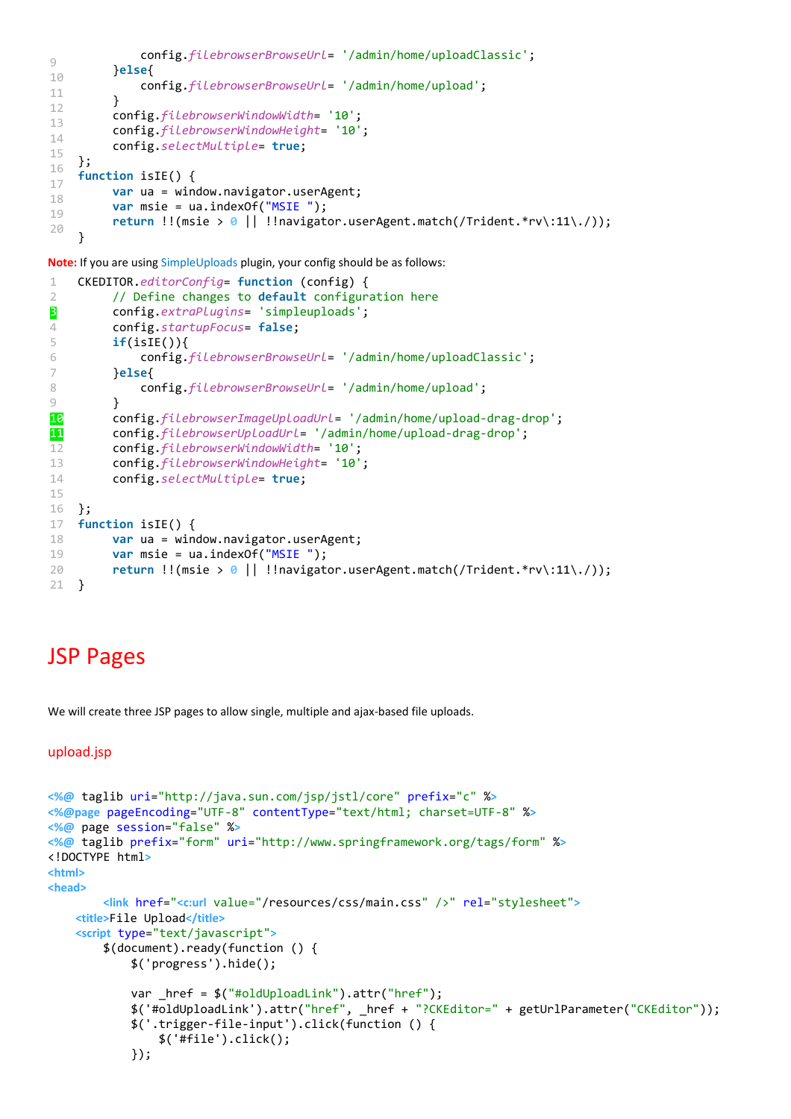```
9
10
11
12
13
14
15
16
17
18
19
20 config.filebrowserBrowseUrl= '/admin/home/uploadClassic';
          }else{
               config.filebrowserBrowseUrl= '/admin/home/upload';
          }
          config.filebrowserWindowWidth= '10';
          config.filebrowserWindowHeight= '10';
          config.selectMultiple= true;
    };
    function isIE() {
          var ua = window.navigator.userAgent;
          var msie = ua.indexOf("MSIE ");
          return !!(msie > 0 || !!navigator.userAgent.match(/Trident.*rv\:11\./));
    }
```
**Note:** If you are using [SimpleUploads](http://ckeditor.com/addon/simpleuploads) plugin, your config should be as follows:

```
1
\mathcal{D}3
4
5
6
7
8
9
10
11
12
13
14
15
16
17
18
19
20
21
    CKEDITOR.editorConfig= function (config) {
           // Define changes to default configuration here
          config.extraPlugins= 'simpleuploads';
           config.startupFocus= false;
          if(isIE()){
               config.filebrowserBrowseUrl= '/admin/home/uploadClassic';
          }else{
               config.filebrowserBrowseUrl= '/admin/home/upload';
           }
          config.filebrowserImageUploadUrl= '/admin/home/upload-drag-drop';
           config.filebrowserUploadUrl= '/admin/home/upload-drag-drop';
          config.filebrowserWindowWidth= '10';
          config.filebrowserWindowHeight= '10';
          config.selectMultiple= true;
    };
    function isIE() {
          var ua = window.navigator.userAgent;
          var msie = ua.indexOf("MSIE ");
          return !!(msie > 0 || !!navigator.userAgent.match(/Trident.*rv\:11\./));
    }
```
### JSP Pages

We will create three JSP pages to allow single, multiple and ajax-based file uploads.

```
upload.jsp
```

```
<%@ taglib uri="http://java.sun.com/jsp/jstl/core" prefix="c" %>
<%@page pageEncoding="UTF-8" contentType="text/html; charset=UTF-8" %>
<%@ page session="false" %>
<%@ taglib prefix="form" uri="http://www.springframework.org/tags/form" %>
<!DOCTYPE html>
<html>
<head>
         <link href="<c:url value="/resources/css/main.css" />" rel="stylesheet">
     <title>File Upload</title>
     <script type="text/javascript">
         $(document).ready(function () {
             $('progress').hide();
             var _href = $("#oldUploadLink").attr("href");
             $('#oldUploadLink').attr("href", _href + "?CKEditor=" + getUrlParameter("CKEditor"));
             $('.trigger-file-input').click(function () {
                 $('#file').click();
             });
```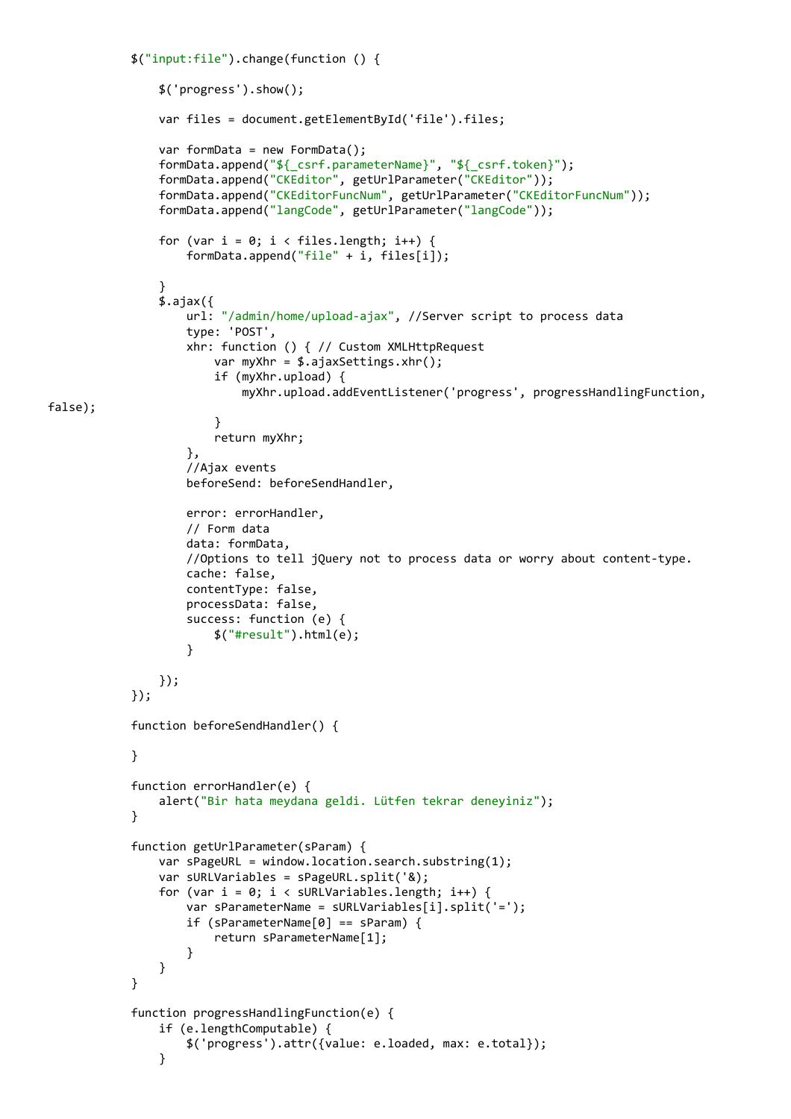```
 $("input:file").change(function () {
                 $('progress').show();
                 var files = document.getElementById('file').files;
                 var formData = new FormData();
                 formData.append("${_csrf.parameterName}", "${_csrf.token}");
                 formData.append("CKEditor", getUrlParameter("CKEditor"));
                 formData.append("CKEditorFuncNum", getUrlParameter("CKEditorFuncNum"));
                 formData.append("langCode", getUrlParameter("langCode"));
                for (var i = 0; i \lt files.length; i++) {
                     formData.append("file" + i, files[i]);
 }
                \overline{\$}.ajax(\overline{\{})} url: "/admin/home/upload-ajax", //Server script to process data
                     type: 'POST',
                     xhr: function () { // Custom XMLHttpRequest
                          var myXhr = $.ajaxSettings.xhr();
                          if (myXhr.upload) {
                              myXhr.upload.addEventListener('progress', progressHandlingFunction,
 }
                          return myXhr;
\}, \}, \}, \}, \}, \}, \}, \}, \}, \}, \}, \}, \}, \}, \}, \}, \}, \}, \}, \}, \}, \}, \}, \}, \}, \}, \}, \}, \}, \}, \}, \}, \}, \}, \}, \}, \},
                     //Ajax events
                     beforeSend: beforeSendHandler,
                     error: errorHandler,
                     // Form data
                     data: formData,
                     //Options to tell jQuery not to process data or worry about content-type.
                     cache: false,
                     contentType: false,
                     processData: false,
                     success: function (e) {
                          $("#result").html(e);
 }
                 });
             });
             function beforeSendHandler() {
 }
             function errorHandler(e) {
                 alert("Bir hata meydana geldi. Lütfen tekrar deneyiniz");
 }
             function getUrlParameter(sParam) {
                 var sPageURL = window.location.search.substring(1);
                 var sURLVariables = sPageURL.split('&);
                for (var i = 0; i < sURLVariables.length; i++) {
                     var sParameterName = sURLVariables[i].split('=');
                     if (sParameterName[0] == sParam) {
                          return sParameterName[1];
 }
 }
 }
             function progressHandlingFunction(e) {
                 if (e.lengthComputable) {
                     $('progress').attr({value: e.loaded, max: e.total});
 }
```
false);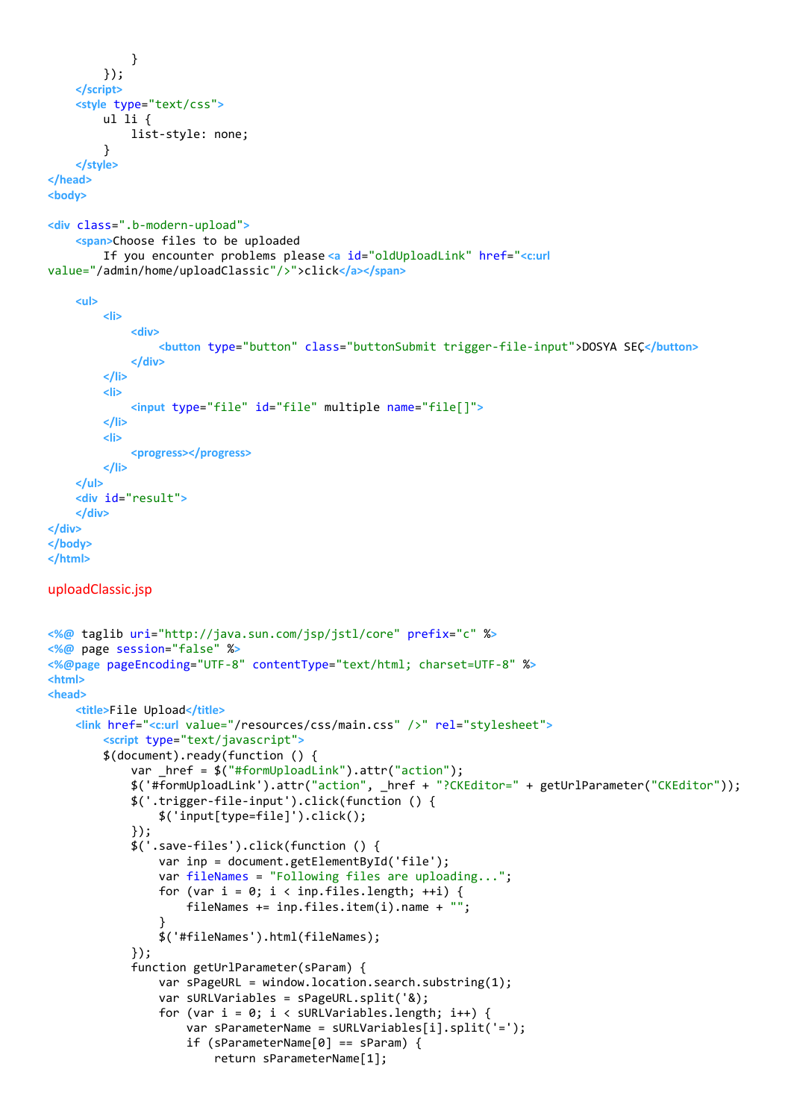```
 }
         });
     </script>
     <style type="text/css">
         ul li {
             list-style: none;
         }
     </style>
</head>
<body>
<div class=".b-modern-upload">
     <span>Choose files to be uploaded
         If you encounter problems please <a id="oldUploadLink" href="<c:url
value="/admin/home/uploadClassic"/>">click</a></span>
     <ul>
         <li>
             <div>
                  <button type="button" class="buttonSubmit trigger-file-input">DOSYA SEÇ</button>
              </div>
         </li>
         <li>
             <input type="file" id="file" multiple name="file[]">
         </li>
         <li>
              <progress></progress>
         </li>
     </ul>
     <div id="result">
     </div>
</div>
</body>
</html>
uploadClassic.jsp
<%@ taglib uri="http://java.sun.com/jsp/jstl/core" prefix="c" %>
<%@ page session="false" %>
<%@page pageEncoding="UTF-8" contentType="text/html; charset=UTF-8" %>
<html>
<head>
     <title>File Upload</title>
     <link href="<c:url value="/resources/css/main.css" />" rel="stylesheet">
         <script type="text/javascript">
         $(document).ready(function () {
            var href = $("#formUpdateink") . attr("action"); $('#formUploadLink').attr("action", _href + "?CKEditor=" + getUrlParameter("CKEditor"));
             $('.trigger-file-input').click(function () {
                  $('input[type=file]').click();
             });
             $('.save-files').click(function () {
                  var inp = document.getElementById('file');
                  var fileNames = "Following files are uploading...";
                 for (var i = 0; i < inp.files.length; ++i) {
                      fileNames += inp.files.item(i).name + "";
 }
                  $('#fileNames').html(fileNames);
             });
             function getUrlParameter(sParam) {
                 var sPageURL = window.location.search.substring(1);
                  var sURLVariables = sPageURL.split('&);
                 for (var i = 0; i < sURLVariables.length; i++) {
                      var sParameterName = sURLVariables[i].split('=');
                      if (sParameterName[0] == sParam) {
                          return sParameterName[1];
```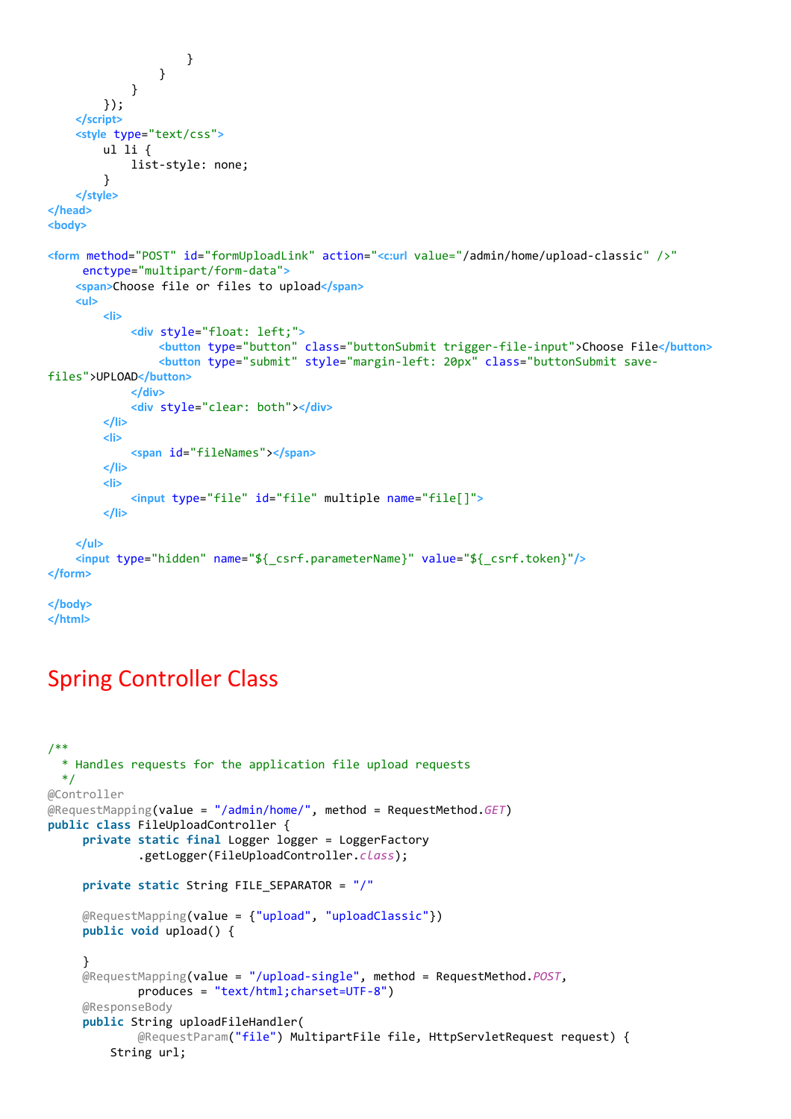```
 }
 }
             }
         });
     </script>
     <style type="text/css">
         ul li {
             list-style: none;
         }
     </style>
</head>
<body>
<form method="POST" id="formUploadLink" action="<c:url value="/admin/home/upload-classic" />"
      enctype="multipart/form-data">
     <span>Choose file or files to upload</span>
     <ul>
         <li>
             <div style="float: left;">
                  <button type="button" class="buttonSubmit trigger-file-input">Choose File</button>
                  <button type="submit" style="margin-left: 20px" class="buttonSubmit save-
files">UPLOAD</button>
             </div>
              <div style="clear: both"></div>
         </li>
         <li>
             <span id="fileNames"></span>
         </li>
         <li>
             <input type="file" id="file" multiple name="file[]">
         </li>
     </ul>
     <input type="hidden" name="${_csrf.parameterName}" value="${_csrf.token}"/>
</form>
</body>
```
**</html>**

### Spring Controller Class

```
/**
   * Handles requests for the application file upload requests
   */
@Controller
@RequestMapping(value = "/admin/home/", method = RequestMethod.GET)
public class FileUploadController {
      private static final Logger logger = LoggerFactory
              .getLogger(FileUploadController.class);
      private static String FILE_SEPARATOR = "/"
      @RequestMapping(value = {"upload", "uploadClassic"})
      public void upload() {
      }
      @RequestMapping(value = "/upload-single", method = RequestMethod.POST,
              produces = "text/html;charset=UTF-8")
      @ResponseBody
      public String uploadFileHandler(
              @RequestParam("file") MultipartFile file, HttpServletRequest request) {
          String url;
```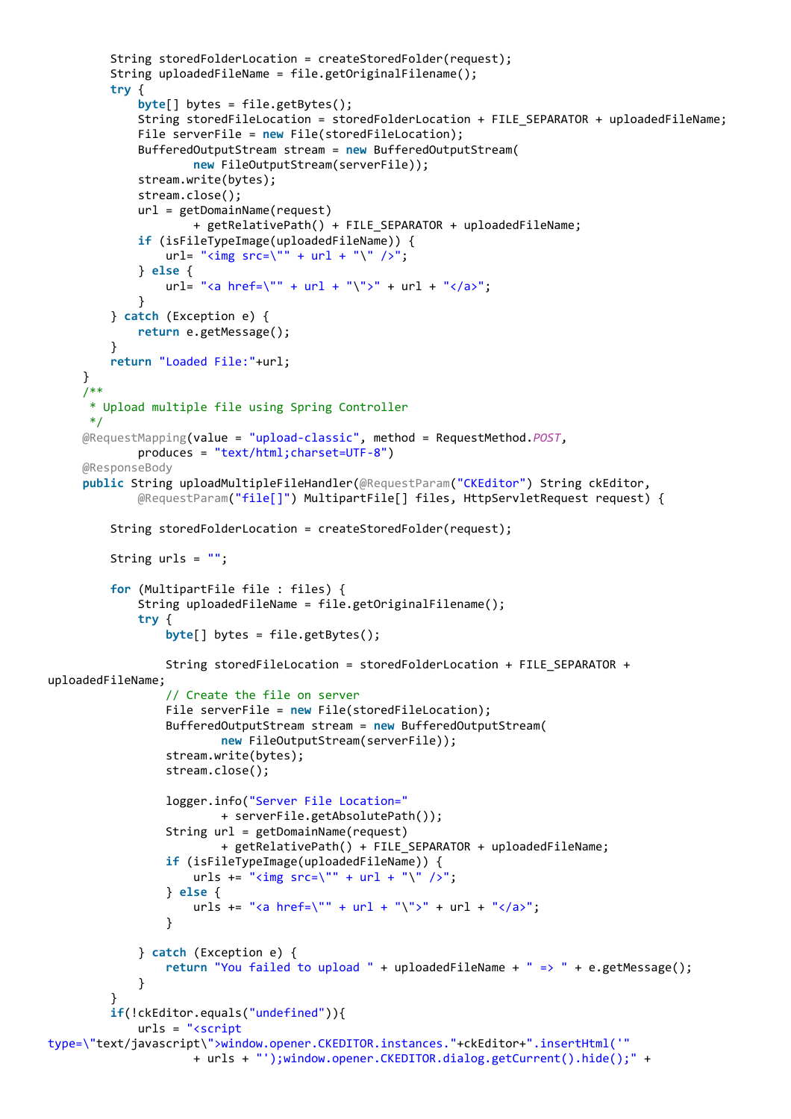```
 String storedFolderLocation = createStoredFolder(request);
          String uploadedFileName = file.getOriginalFilename();
          try {
              byte[] bytes = file.getBytes();
             String storedFileLocation = storedFolderLocation + FILE SEPARATOR + uploadedFileName;
              File serverFile = new File(storedFileLocation);
              BufferedOutputStream stream = new BufferedOutputStream(
                      new FileOutputStream(serverFile));
              stream.write(bytes);
              stream.close();
              url = getDomainName(request)
                      + getRelativePath() + FILE_SEPARATOR + uploadedFileName;
              if (isFileTypeImage(uploadedFileName)) {
                 url = "time src=\\ " " + url + "\\ " / >". } else {
                 url= "<a href=\"" + url + "\">" + url + "</a>";
 }
          } catch (Exception e) {
              return e.getMessage();
 }
          return "Loaded File:"+url;
      }
      /**
       * Upload multiple file using Spring Controller
       */
      @RequestMapping(value = "upload-classic", method = RequestMethod.POST,
              produces = "text/html;charset=UTF-8")
      @ResponseBody
      public String uploadMultipleFileHandler(@RequestParam("CKEditor") String ckEditor,
              @RequestParam("file[]") MultipartFile[] files, HttpServletRequest request) {
          String storedFolderLocation = createStoredFolder(request);
         String urls = ""; for (MultipartFile file : files) {
              String uploadedFileName = file.getOriginalFilename();
              try {
                  byte[] bytes = file.getBytes();
                  String storedFileLocation = storedFolderLocation + FILE_SEPARATOR +
uploadedFileName;
                  // Create the file on server
                  File serverFile = new File(storedFileLocation);
                  BufferedOutputStream stream = new BufferedOutputStream(
                          new FileOutputStream(serverFile));
                  stream.write(bytes);
                  stream.close();
                  logger.info("Server File Location="
                          + serverFile.getAbsolutePath());
                  String url = getDomainName(request)
                          + getRelativePath() + FILE_SEPARATOR + uploadedFileName;
                  if (isFileTypeImage(uploadedFileName)) {
                     urls += "<img src=\"" + url + "\" />";
                  } else {
                     urls += "<a href=\"" + url + "\">" + url + "</a>";
 }
              } catch (Exception e) {
                  return "You failed to upload " + uploadedFileName + " => " + e.getMessage();
 }
 }
          if(!ckEditor.equals("undefined")){
              urls = "<script
type=\"text/javascript\">window.opener.CKEDITOR.instances."+ckEditor+".insertHtml('"
                      + urls + "');window.opener.CKEDITOR.dialog.getCurrent().hide();" +
```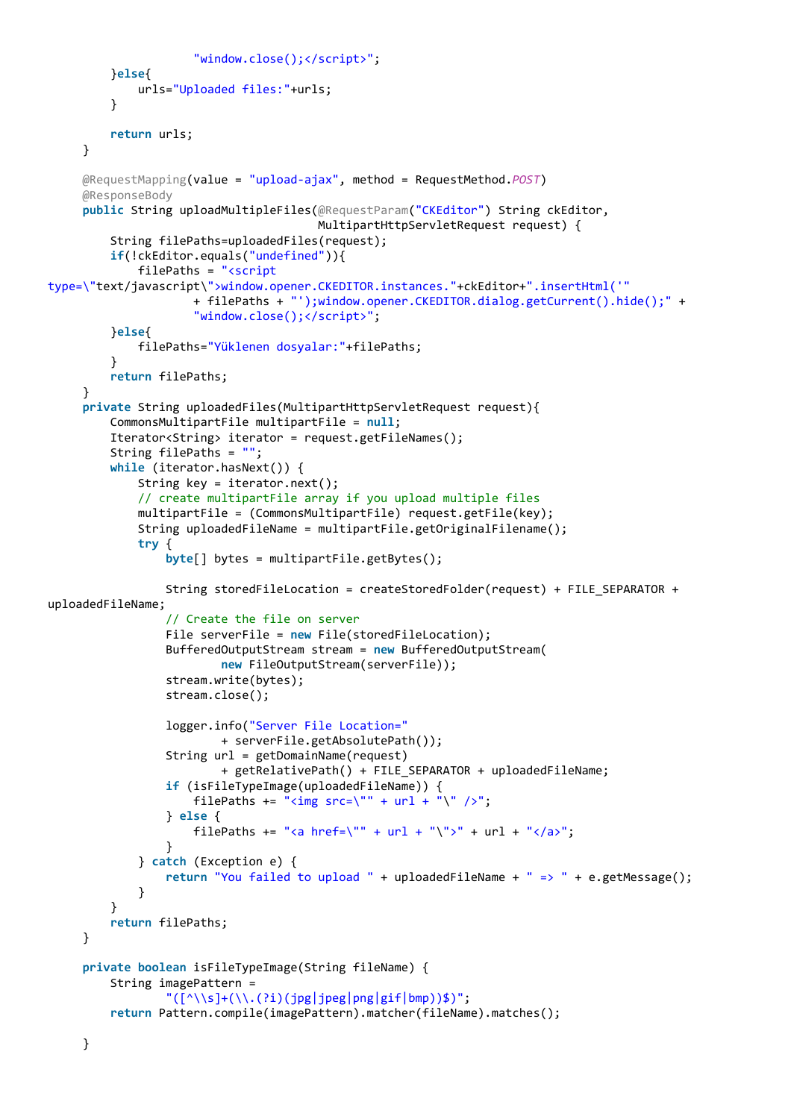```
 "window.close();</script>";
          }else{
              urls="Uploaded files:"+urls;
 }
          return urls;
      }
      @RequestMapping(value = "upload-ajax", method = RequestMethod.POST)
      @ResponseBody
      public String uploadMultipleFiles(@RequestParam("CKEditor") String ckEditor,
                                         MultipartHttpServletRequest request) {
          String filePaths=uploadedFiles(request);
          if(!ckEditor.equals("undefined")){
              filePaths = "<script
type=\"text/javascript\">window.opener.CKEDITOR.instances."+ckEditor+".insertHtml('"
                      + filePaths + "');window.opener.CKEDITOR.dialog.getCurrent().hide();" +
                       "window.close();</script>";
          }else{
              filePaths="Yüklenen dosyalar:"+filePaths;
 }
          return filePaths;
      }
      private String uploadedFiles(MultipartHttpServletRequest request){
          CommonsMultipartFile multipartFile = null;
          Iterator<String> iterator = request.getFileNames();
          String filePaths = "";
          while (iterator.hasNext()) {
              String key = iterator.next();
              // create multipartFile array if you upload multiple files
              multipartFile = (CommonsMultipartFile) request.getFile(key);
              String uploadedFileName = multipartFile.getOriginalFilename();
              try {
                   byte[] bytes = multipartFile.getBytes();
                 String storedFileLocation = createStoredFolder(request) + FILE SEPARATOR +
uploadedFileName;
                   // Create the file on server
                  File serverFile = new File(storedFileLocation);
                  BufferedOutputStream stream = new BufferedOutputStream(
                           new FileOutputStream(serverFile));
                  stream.write(bytes);
                  stream.close();
                  logger.info("Server File Location="
                           + serverFile.getAbsolutePath());
                  String url = getDomainName(request)
                           + getRelativePath() + FILE_SEPARATOR + uploadedFileName;
                  if (isFileTypeImage(uploadedFileName)) {
                      filePaths += "<img src=\"" + url + "\" />";
                   } else {
                      filePaths += "<a href=\"" + url + "\">" + url + "</a>";
 }
              } catch (Exception e) {
                  return "You failed to upload " + uploadedFileName + " => " + e.getMessage();
 }
          }
          return filePaths;
      }
      private boolean isFileTypeImage(String fileName) {
          String imagePattern =
                  "(\lceil^{\wedge}\backslash\backslash s\rceil+(\backslash\backslash .(?i)(jpg|jpeg|png|gif|bmp))\;
          return Pattern.compile(imagePattern).matcher(fileName).matches();
```
}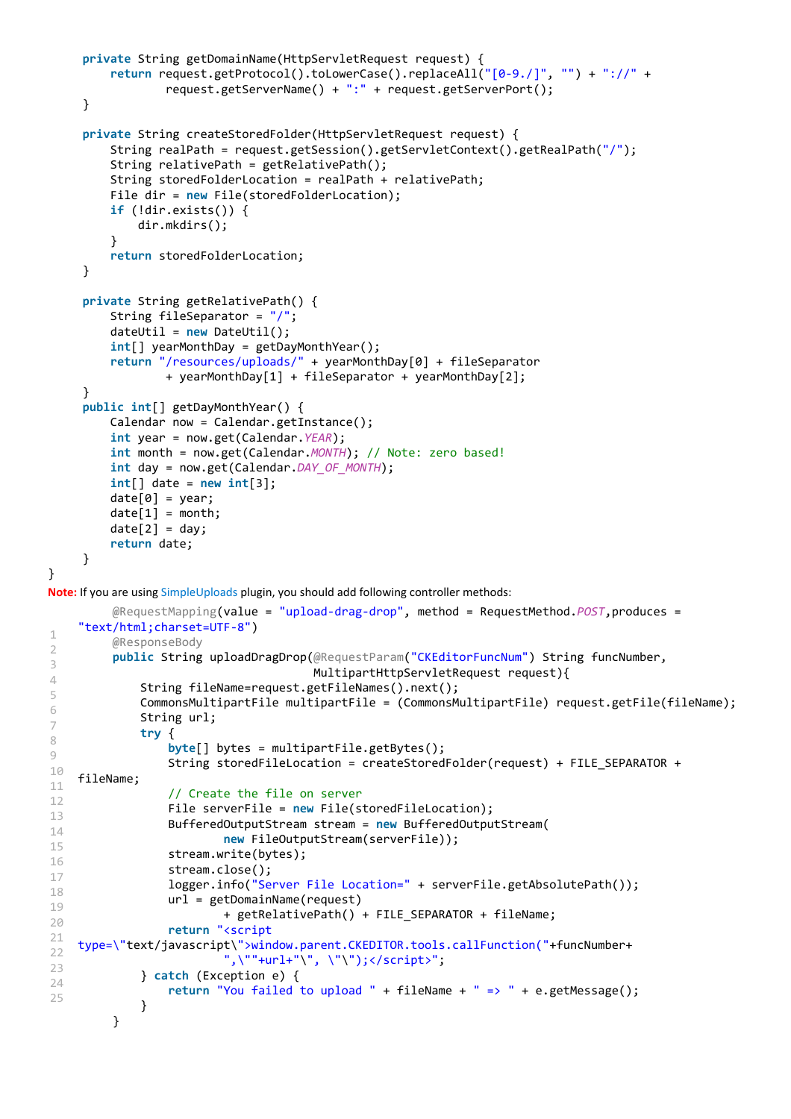```
 private String getDomainName(HttpServletRequest request) {
          return request.getProtocol().toLowerCase().replaceAll("[0-9./]", "") + "://" +
                   request.getServerName() + ":" + request.getServerPort();
      }
      private String createStoredFolder(HttpServletRequest request) {
          String realPath = request.getSession().getServletContext().getRealPath("/");
          String relativePath = getRelativePath();
          String storedFolderLocation = realPath + relativePath;
          File dir = new File(storedFolderLocation);
          if (!dir.exists()) {
              dir.mkdirs();
          }
          return storedFolderLocation;
      }
      private String getRelativePath() {
          String fileSeparator = "/";
          dateUtil = new DateUtil();
          int[] yearMonthDay = getDayMonthYear();
          return "/resources/uploads/" + yearMonthDay[0] + fileSeparator
                   + yearMonthDay[1] + fileSeparator + yearMonthDay[2];
      }
      public int[] getDayMonthYear() {
          Calendar now = Calendar.getInstance();
          int year = now.get(Calendar.YEAR);
          int month = now.get(Calendar.MONTH); // Note: zero based!
          int day = now.get(Calendar.DAY_OF_MONTH);
          int[] date = new int[3];
         date[0] = year;date[1] = month;date[2] = day; return date;
      }
}
Note: If you are using SimpleUploads plugin, you should add following controller methods:
1
2
3
4
5
6
7
8
9
10
11
12
13
14
15
16
17
18
19
2021
2223
24
25
          @RequestMapping(value = "upload-drag-drop", method = RequestMethod.POST,produces =
    "text/html;charset=UTF-8")
          @ResponseBody
          public String uploadDragDrop(@RequestParam("CKEditorFuncNum") String funcNumber,
                                         MultipartHttpServletRequest request){
               String fileName=request.getFileNames().next();
               CommonsMultipartFile multipartFile = (CommonsMultipartFile) request.getFile(fileName);
              String url;
               try {
                   byte[] bytes = multipartFile.getBytes();
                  String storedFileLocation = createStoredFolder(request) + FILE SEPARATOR +
    fileName;
                   // Create the file on server
                   File serverFile = new File(storedFileLocation);
                   BufferedOutputStream stream = new BufferedOutputStream(
                           new FileOutputStream(serverFile));
                   stream.write(bytes);
                   stream.close();
                   logger.info("Server File Location=" + serverFile.getAbsolutePath());
                   url = getDomainName(request)
                           + getRelativePath() + FILE_SEPARATOR + fileName;
                   return "<script
    type=\"text/javascript\">window.parent.CKEDITOR.tools.callFunction("+funcNumber+
                            ",\""+url+"\", \"\");</script>";
               } catch (Exception e) {
                   return "You failed to upload " + fileName + " => " + e.getMessage();
               }
          }
```